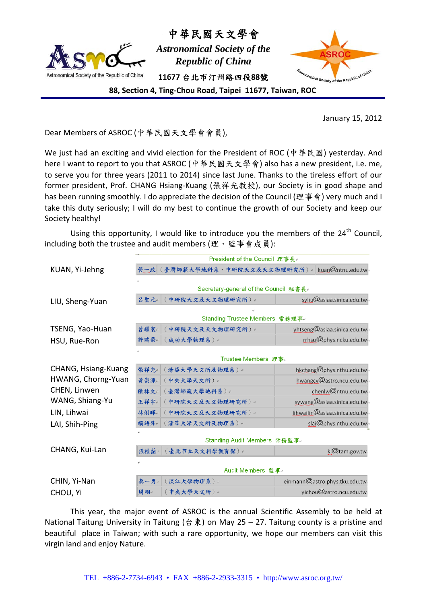

中華民國天文學會

*Astronomical Society of the Republic of China*  **11677** 台北市汀州路四段**88**號



**88, Section 4, Ting‐Chou Road, Taipei 11677, Taiwan, ROC**

January 15, 2012

Dear Members of ASROC (中華民國天文學會會員),

We just had an exciting and vivid election for the President of ROC (中華民國) yesterday. And here I want to report to you that ASROC (中華民國天文學會) also has a new president, i.e. me, to serve you for three years (2011 to 2014) since last June. Thanks to the tireless effort of our former president, Prof. CHANG Hsiang‐Kuang (張祥光教授), our Society is in good shape and has been running smoothly. I do appreciate the decision of the Council (理事會) very much and I take this duty seriously; I will do my best to continue the growth of our Society and keep our Society healthy!

Using this opportunity, I would like to introduce you the members of the  $24<sup>th</sup>$  Council, including both the trustee and audit members (理、監事會成員):

|                     | President of the Council 理事長↓                      |                                                               |
|---------------------|----------------------------------------------------|---------------------------------------------------------------|
| KUAN, Yi-Jehng      | kuan@ntnu.edu.tw-<br>管一政 (臺灣師範大學地科系、中研院天文及天文物理研究所) |                                                               |
|                     | $\leftarrow$                                       |                                                               |
|                     | Secretary-general of the Council 秘書長↩              |                                                               |
| LIU, Sheng-Yuan     | 中研院天文及天文物理研究所)。<br>吕聖元。                            | syliu@asiaa.sinica.edu.tw                                     |
|                     |                                                    |                                                               |
|                     | Standing Trustee Members 常務理事。                     |                                                               |
| TSENG, Yao-Huan     | 曾耀寰。<br>中研院天文及天文物理研究所)。                            | yhtseng@asiaa.sinica.edu.tw                                   |
| HSU, Rue-Ron        | 許瑞榮。<br>(成功大學物理系)。                                 | rrhsu@phys.ncku.edu.tw-                                       |
|                     |                                                    |                                                               |
|                     | Trustee Members 理事。                                |                                                               |
| CHANG, Hsiang-Kuang | 張祥光。<br>(清華大學天文所及物理系)。                             | hkchang@phys.nthu.edu.tw-                                     |
| HWANG, Chorng-Yuan  | 黄崇源。<br>(中央大學天文所)。                                 | hwangcy@astro.ncu.edu.tw-                                     |
| CHEN, Linwen        | (臺灣師範大學地科系)。<br>陳林文。                               | chenlw@ntnu.edu.tw                                            |
| WANG, Shiang-Yu     | 王祥宇。<br>(中研院天文及天文物理研究所)。                           | sywang@asiaa.sinica.edu.tw-                                   |
| LIN, Lihwai         | (中研院天文及天文物理研究所)~<br>林俐暉。                           | $\lim_{\alpha\to 0} \mathcal{Q}_{\text{asiaa.sinica.edu.tw}}$ |
| LAI, Shih-Ping      | 賴詩萍+<br>(清華大學天文所及物理系)+                             | slai@phys.nthu.edu.tw                                         |
|                     |                                                    |                                                               |
|                     | Standing Audit Members 常務監事。                       |                                                               |
| CHANG, Kui-Lan      | 張桂蘭。<br>(臺北市立天文科學教育館)。                             | kl@tam.gov.tw                                                 |
|                     |                                                    |                                                               |
|                     | Audit Members 監事。                                  |                                                               |
| CHIN, Yi-Nan        | (淡江大學物理系)。<br>秦一男。                                 | einmann@astro.phys.tku.edu.tw                                 |
| CHOU, Yi            | (中央大學天文所)。<br>周翊。                                  | yichou@astro.ncu.edu.tw                                       |

This year, the major event of ASROC is the annual Scientific Assembly to be held at National Taitung University in Taitung (台東) on May 25 – 27. Taitung county is a pristine and beautiful place in Taiwan; with such a rare opportunity, we hope our members can visit this virgin land and enjoy Nature.